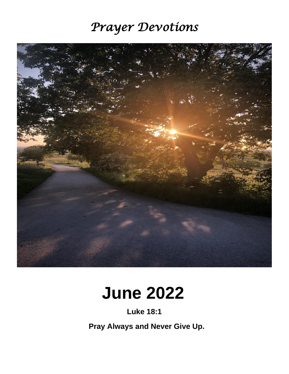# *Prayer Devotions*



# **June 2022**

**Luke 18:1**

 **Pray Always and Never Give Up.**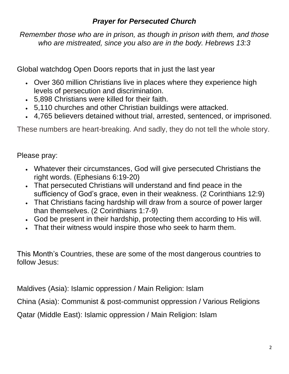# *Prayer for Persecuted Church*

*Remember those who are in prison, as though in prison with them, and those who are mistreated, since you also are in the body. Hebrews 13:3*

Global watchdog Open Doors reports that in just the last year 

- Over 360 million Christians live in places where they experience high  levels of persecution and discrimination.
- 5,898 Christians were killed for their faith.
- 5,110 churches and other Christian buildings were attacked.
- 4,765 believers detained without trial, arrested, sentenced, or imprisoned.

These numbers are heart-breaking. And sadly, they do not tell the whole story.

Please pray:

- Whatever their circumstances, God will give persecuted Christians the  right words. (Ephesians 6:19-20)
- That persecuted Christians will understand and find peace in the  sufficiency of God's grace, even in their weakness. (2 Corinthians 12:9)
- That Christians facing hardship will draw from a source of power larger  than themselves. (2 Corinthians 1:7-9)
- God be present in their hardship, protecting them according to His will.
- That their witness would inspire those who seek to harm them.

This Month's Countries, these are some of the most dangerous countries to follow Jesus:

Maldives (Asia): Islamic oppression / Main Religion: Islam

China (Asia): Communist & post-communist oppression / Various Religions

Qatar (Middle East): Islamic oppression / Main Religion: Islam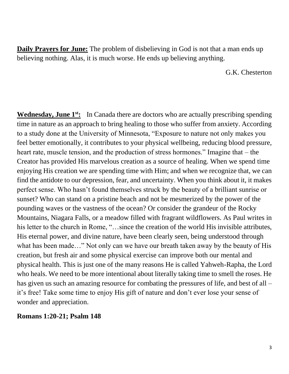**Daily Prayers for June:** The problem of disbelieving in God is not that a man ends up believing nothing. Alas, it is much worse. He ends up believing anything.

G.K. Chesterton

**Wednesday, June 1<sup>st</sup>:** In Canada there are doctors who are actually prescribing spending time in nature as an approach to bring healing to those who suffer from anxiety. According to a study done at the University of Minnesota, "Exposure to nature not only makes you feel better emotionally, it contributes to your physical wellbeing, reducing blood pressure, heart rate, muscle tension, and the production of stress hormones." Imagine that – the Creator has provided His marvelous creation as a source of healing. When we spend time enjoying His creation we are spending time with Him; and when we recognize that, we can find the antidote to our depression, fear, and uncertainty. When you think about it, it makes perfect sense. Who hasn't found themselves struck by the beauty of a brilliant sunrise or sunset? Who can stand on a pristine beach and not be mesmerized by the power of the pounding waves or the vastness of the ocean? Or consider the grandeur of the Rocky Mountains, Niagara Falls, or a meadow filled with fragrant wildflowers. As Paul writes in his letter to the church in Rome, "...since the creation of the world His invisible attributes, His eternal power, and divine nature, have been clearly seen, being understood through what has been made…" Not only can we have our breath taken away by the beauty of His creation, but fresh air and some physical exercise can improve both our mental and physical health. This is just one of the many reasons He is called Yahweh-Rapha, the Lord who heals. We need to be more intentional about literally taking time to smell the roses. He has given us such an amazing resource for combating the pressures of life, and best of all – it's free! Take some time to enjoy His gift of nature and don't ever lose your sense of wonder and appreciation.

**Romans 1:20-21; Psalm 148**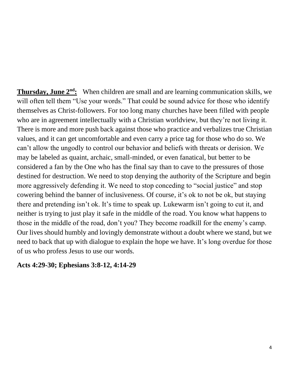**Thursday, June 2<sup>nd</sup>:** When children are small and are learning communication skills, we will often tell them "Use your words." That could be sound advice for those who identify themselves as Christ-followers. For too long many churches have been filled with people who are in agreement intellectually with a Christian worldview, but they're not living it. There is more and more push back against those who practice and verbalizes true Christian values, and it can get uncomfortable and even carry a price tag for those who do so. We can't allow the ungodly to control our behavior and beliefs with threats or derision. We may be labeled as quaint, archaic, small-minded, or even fanatical, but better to be considered a fan by the One who has the final say than to cave to the pressures of those destined for destruction. We need to stop denying the authority of the Scripture and begin more aggressively defending it. We need to stop conceding to "social justice" and stop cowering behind the banner of inclusiveness. Of course, it's ok to not be ok, but staying there and pretending isn't ok. It's time to speak up. Lukewarm isn't going to cut it, and neither is trying to just play it safe in the middle of the road. You know what happens to those in the middle of the road, don't you? They become roadkill for the enemy's camp. Our lives should humbly and lovingly demonstrate without a doubt where we stand, but we need to back that up with dialogue to explain the hope we have. It's long overdue for those of us who profess Jesus to use our words.

#### **Acts 4:29-30; Ephesians 3:8-12, 4:14-29**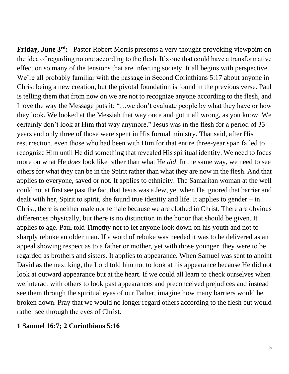**Friday, June 3<sup>rd</sup>:** Pastor Robert Morris presents a very thought-provoking viewpoint on the idea of regarding no one according to the flesh. It's one that could have a transformative effect on so many of the tensions that are infecting society. It all begins with perspective. We're all probably familiar with the passage in Second Corinthians 5:17 about anyone in Christ being a new creation, but the pivotal foundation is found in the previous verse. Paul is telling them that from now on we are not to recognize anyone according to the flesh, and I love the way the Message puts it: "…we don't evaluate people by what they have or how they look. We looked at the Messiah that way once and got it all wrong, as you know. We certainly don't look at Him that way anymore." Jesus was in the flesh for a period of 33 years and only three of those were spent in His formal ministry. That said, after His resurrection, even those who had been with Him for that entire three-year span failed to recognize Him until He did something that revealed His spiritual identity. We need to focus more on what He *does* look like rather than what He *did*. In the same way, we need to see others for what they can be in the Spirit rather than what they are now in the flesh. And that applies to everyone, saved or not. It applies to ethnicity. The Samaritan woman at the well could not at first see past the fact that Jesus was a Jew, yet when He ignored that barrier and dealt with her, Spirit to spirit, she found true identity and life. It applies to gender – in Christ, there is neither male nor female because we are clothed in Christ. There are obvious differences physically, but there is no distinction in the honor that should be given. It applies to age. Paul told Timothy not to let anyone look down on his youth and not to sharply rebuke an older man. If a word of rebuke was needed it was to be delivered as an appeal showing respect as to a father or mother, yet with those younger, they were to be regarded as brothers and sisters. It applies to appearance. When Samuel was sent to anoint David as the next king, the Lord told him not to look at his appearance because He did not look at outward appearance but at the heart. If we could all learn to check ourselves when we interact with others to look past appearances and preconceived prejudices and instead see them through the spiritual eyes of our Father, imagine how many barriers would be broken down. Pray that we would no longer regard others according to the flesh but would rather see through the eyes of Christ.

#### **1 Samuel 16:7; 2 Corinthians 5:16**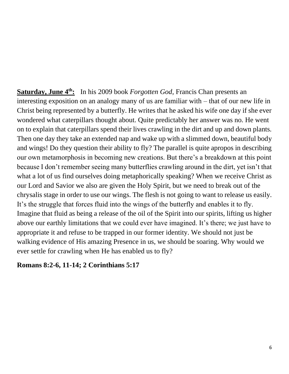Saturday, June 4<sup>th</sup>: In his 2009 book *Forgotten God*, Francis Chan presents an interesting exposition on an analogy many of us are familiar with – that of our new life in Christ being represented by a butterfly. He writes that he asked his wife one day if she ever wondered what caterpillars thought about. Quite predictably her answer was no. He went on to explain that caterpillars spend their lives crawling in the dirt and up and down plants. Then one day they take an extended nap and wake up with a slimmed down, beautiful body and wings! Do they question their ability to fly? The parallel is quite apropos in describing our own metamorphosis in becoming new creations. But there's a breakdown at this point because I don't remember seeing many butterflies crawling around in the dirt, yet isn't that what a lot of us find ourselves doing metaphorically speaking? When we receive Christ as our Lord and Savior we also are given the Holy Spirit, but we need to break out of the chrysalis stage in order to use our wings. The flesh is not going to want to release us easily. It's the struggle that forces fluid into the wings of the butterfly and enables it to fly. Imagine that fluid as being a release of the oil of the Spirit into our spirits, lifting us higher above our earthly limitations that we could ever have imagined. It's there; we just have to appropriate it and refuse to be trapped in our former identity. We should not just be walking evidence of His amazing Presence in us, we should be soaring. Why would we ever settle for crawling when He has enabled us to fly?

#### **Romans 8:2-6, 11-14; 2 Corinthians 5:17**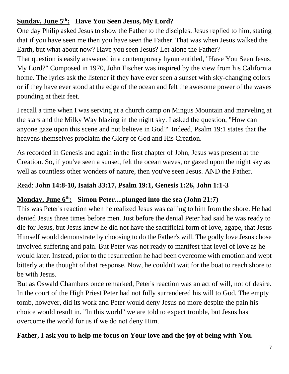# **Sunday, June 5 th: Have You Seen Jesus, My Lord?**

One day Philip asked Jesus to show the Father to the disciples. Jesus replied to him, stating that if you have seen me then you have seen the Father. That was when Jesus walked the Earth, but what about now? Have you seen Jesus? Let alone the Father?

That question is easily answered in a contemporary hymn entitled, "Have You Seen Jesus, My Lord?" Composed in 1970, John Fischer was inspired by the view from his California home. The lyrics ask the listener if they have ever seen a sunset with sky-changing colors or if they have ever stood at the edge of the ocean and felt the awesome power of the waves pounding at their feet.

I recall a time when I was serving at a church camp on Mingus Mountain and marveling at the stars and the Milky Way blazing in the night sky. I asked the question, "How can anyone gaze upon this scene and not believe in God?" Indeed, Psalm 19:1 states that the heavens themselves proclaim the Glory of God and His Creation.

As recorded in Genesis and again in the first chapter of John, Jesus was present at the Creation. So, if you've seen a sunset, felt the ocean waves, or gazed upon the night sky as well as countless other wonders of nature, then you've seen Jesus. AND the Father.

# Read: **John 14:8-10, Isaiah 33:17, Psalm 19:1, Genesis 1:26, John 1:1-3**

## **Monday, June 6<sup>th</sup>: Simon Peter....plunged into the sea (John 21:7)**

This was Peter's reaction when he realized Jesus was calling to him from the shore. He had denied Jesus three times before men. Just before the denial Peter had said he was ready to die for Jesus, but Jesus knew he did not have the sacrificial form of love, agape, that Jesus Himself would demonstrate by choosing to do the Father's will. The godly love Jesus chose involved suffering and pain. But Peter was not ready to manifest that level of love as he would later. Instead, prior to the resurrection he had been overcome with emotion and wept bitterly at the thought of that response. Now, he couldn't wait for the boat to reach shore to be with Jesus.

But as Oswald Chambers once remarked, Peter's reaction was an act of will, not of desire. In the court of the High Priest Peter had not fully surrendered his will to God. The empty tomb, however, did its work and Peter would deny Jesus no more despite the pain his choice would result in. "In this world" we are told to expect trouble, but Jesus has overcome the world for us if we do not deny Him.

# **Father, I ask you to help me focus on Your love and the joy of being with You.**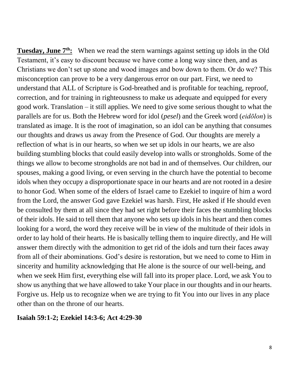**Tuesday, June 7<sup>th</sup>:** When we read the stern warnings against setting up idols in the Old Testament, it's easy to discount because we have come a long way since then, and as Christians we don't set up stone and wood images and bow down to them. Or do we? This misconception can prove to be a very dangerous error on our part. First, we need to understand that ALL of Scripture is God-breathed and is profitable for teaching, reproof, correction, and for training in righteousness to make us adequate and equipped for every good work. Translation – it still applies. We need to give some serious thought to what the parallels are for us. Both the Hebrew word for idol (*pesel*) and the Greek word (*eidōlon*) is translated as image. It is the root of imagination, so an idol can be anything that consumes our thoughts and draws us away from the Presence of God. Our thoughts are merely a reflection of what is in our hearts, so when we set up idols in our hearts, we are also building stumbling blocks that could easily develop into walls or strongholds. Some of the things we allow to become strongholds are not bad in and of themselves. Our children, our spouses, making a good living, or even serving in the church have the potential to become idols when they occupy a disproportionate space in our hearts and are not rooted in a desire to honor God. When some of the elders of Israel came to Ezekiel to inquire of him a word from the Lord, the answer God gave Ezekiel was harsh. First, He asked if He should even be consulted by them at all since they had set right before their faces the stumbling blocks of their idols. He said to tell them that anyone who sets up idols in his heart and then comes looking for a word, the word they receive will be in view of the multitude of their idols in order to lay hold of their hearts. He is basically telling them to inquire directly, and He will answer them directly with the admonition to get rid of the idols and turn their faces away from all of their abominations. God's desire is restoration, but we need to come to Him in sincerity and humility acknowledging that He alone is the source of our well-being, and when we seek Him first, everything else will fall into its proper place. Lord, we ask You to show us anything that we have allowed to take Your place in our thoughts and in our hearts. Forgive us. Help us to recognize when we are trying to fit You into our lives in any place other than on the throne of our hearts.

#### **Isaiah 59:1-2; Ezekiel 14:3-6; Act 4:29-30**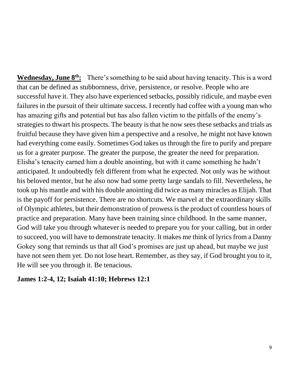**Wednesday, June 8<sup>th</sup>:** There's something to be said about having tenacity. This is a word that can be defined as stubbornness, drive, persistence, or resolve. People who are successful have it. They also have experienced setbacks, possibly ridicule, and maybe even failures in the pursuit of their ultimate success. I recently had coffee with a young man who has amazing gifts and potential but has also fallen victim to the pitfalls of the enemy's strategies to thwart his prospects. The beauty is that he now sees these setbacks and trials as fruitful because they have given him a perspective and a resolve, he might not have known had everything come easily. Sometimes God takes us through the fire to purify and prepare us for a greater purpose. The greater the purpose, the greater the need for preparation. Elisha's tenacity earned him a double anointing, but with it came something he hadn't anticipated. It undoubtedly felt different from what he expected. Not only was he without his beloved mentor, but he also now had some pretty large sandals to fill. Nevertheless, he took up his mantle and with his double anointing did twice as many miracles as Elijah. That is the payoff for persistence. There are no shortcuts. We marvel at the extraordinary skills of Olympic athletes, but their demonstration of prowess is the product of countless hours of practice and preparation. Many have been training since childhood. In the same manner, God will take you through whatever is needed to prepare you for your calling, but in order to succeed, you will have to demonstrate tenacity. It makes me think of lyrics from a Danny Gokey song that reminds us that all God's promises are just up ahead, but maybe we just have not seen them yet. Do not lose heart. Remember, as they say, if God brought you to it, He will see you through it. Be tenacious.

#### **James 1:2-4, 12; Isaiah 41:10; Hebrews 12:1**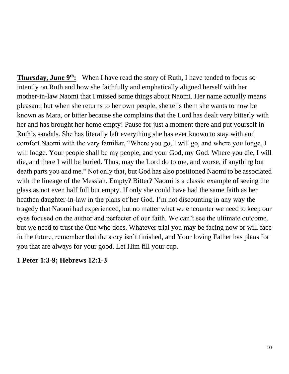**Thursday, June 9<sup>th</sup>:** When I have read the story of Ruth, I have tended to focus so intently on Ruth and how she faithfully and emphatically aligned herself with her mother-in-law Naomi that I missed some things about Naomi. Her name actually means pleasant, but when she returns to her own people, she tells them she wants to now be known as Mara, or bitter because she complains that the Lord has dealt very bitterly with her and has brought her home empty! Pause for just a moment there and put yourself in Ruth's sandals. She has literally left everything she has ever known to stay with and comfort Naomi with the very familiar, "Where you go, I will go, and where you lodge, I will lodge. Your people shall be my people, and your God, my God. Where you die, I will die, and there I will be buried. Thus, may the Lord do to me, and worse, if anything but death parts you and me." Not only that, but God has also positioned Naomi to be associated with the lineage of the Messiah. Empty? Bitter? Naomi is a classic example of seeing the glass as not even half full but empty. If only she could have had the same faith as her heathen daughter-in-law in the plans of her God. I'm not discounting in any way the tragedy that Naomi had experienced, but no matter what we encounter we need to keep our eyes focused on the author and perfecter of our faith. We can't see the ultimate outcome, but we need to trust the One who does. Whatever trial you may be facing now or will face in the future, remember that the story isn't finished, and Your loving Father has plans for you that are always for your good. Let Him fill your cup.

#### **1 Peter 1:3-9; Hebrews 12:1-3**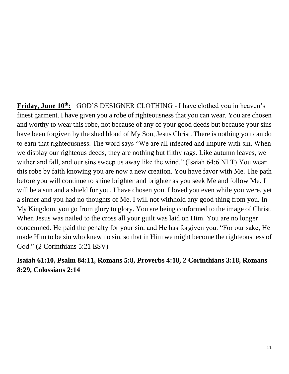**Friday, June 10<sup>th</sup>:** GOD'S DESIGNER CLOTHING - I have clothed you in heaven's finest garment. I have given you a robe of righteousness that you can wear. You are chosen and worthy to wear this robe, not because of any of your good deeds but because your sins have been forgiven by the shed blood of My Son, Jesus Christ. There is nothing you can do to earn that righteousness. The word says "We are all infected and impure with sin. When we display our righteous deeds, they are nothing but filthy rags. Like autumn leaves, we wither and fall, and our sins sweep us away like the wind." (Isaiah 64:6 NLT) You wear this robe by faith knowing you are now a new creation. You have favor with Me. The path before you will continue to shine brighter and brighter as you seek Me and follow Me. I will be a sun and a shield for you. I have chosen you. I loved you even while you were, yet a sinner and you had no thoughts of Me. I will not withhold any good thing from you. In My Kingdom, you go from glory to glory. You are being conformed to the image of Christ. When Jesus was nailed to the cross all your guilt was laid on Him. You are no longer condemned. He paid the penalty for your sin, and He has forgiven you. "For our sake, He made Him to be sin who knew no sin, so that in Him we might become the righteousness of God." (2 Corinthians 5:21 ESV)

# **Isaiah 61:10, Psalm 84:11, Romans 5:8, Proverbs 4:18, 2 Corinthians 3:18, Romans 8:29, Colossians 2:14**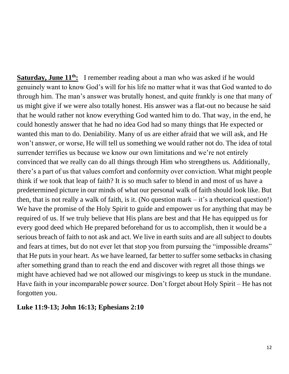**Saturday, June 11<sup>th</sup>:** I remember reading about a man who was asked if he would genuinely want to know God's will for his life no matter what it was that God wanted to do through him. The man's answer was brutally honest, and quite frankly is one that many of us might give if we were also totally honest. His answer was a flat-out no because he said that he would rather not know everything God wanted him to do. That way, in the end, he could honestly answer that he had no idea God had so many things that He expected or wanted this man to do. Deniability. Many of us are either afraid that we will ask, and He won't answer, or worse, He will tell us something we would rather not do. The idea of total surrender terrifies us because we know our own limitations and we're not entirely convinced that we really can do all things through Him who strengthens us. Additionally, there's a part of us that values comfort and conformity over conviction. What might people think if we took that leap of faith? It is so much safer to blend in and most of us have a predetermined picture in our minds of what our personal walk of faith should look like. But then, that is not really a walk of faith, is it. (No question mark  $-$  it's a rhetorical question!) We have the promise of the Holy Spirit to guide and empower us for anything that may be required of us. If we truly believe that His plans are best and that He has equipped us for every good deed which He prepared beforehand for us to accomplish, then it would be a serious breach of faith to not ask and act. We live in earth suits and are all subject to doubts and fears at times, but do not ever let that stop you from pursuing the "impossible dreams" that He puts in your heart. As we have learned, far better to suffer some setbacks in chasing after something grand than to reach the end and discover with regret all those things we might have achieved had we not allowed our misgivings to keep us stuck in the mundane. Have faith in your incomparable power source. Don't forget about Holy Spirit – He has not forgotten you.

#### **Luke 11:9-13; John 16:13; Ephesians 2:10**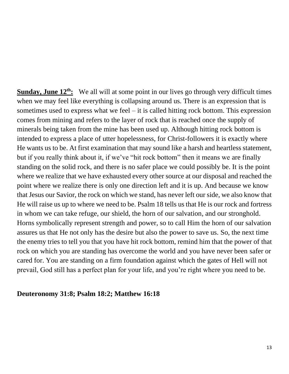**Sunday, June 12th:** We all will at some point in our lives go through very difficult times when we may feel like everything is collapsing around us. There is an expression that is sometimes used to express what we feel – it is called hitting rock bottom. This expression comes from mining and refers to the layer of rock that is reached once the supply of minerals being taken from the mine has been used up. Although hitting rock bottom is intended to express a place of utter hopelessness, for Christ-followers it is exactly where He wants us to be. At first examination that may sound like a harsh and heartless statement, but if you really think about it, if we've "hit rock bottom" then it means we are finally standing on the solid rock, and there is no safer place we could possibly be. It is the point where we realize that we have exhausted every other source at our disposal and reached the point where we realize there is only one direction left and it is up. And because we know that Jesus our Savior, the rock on which we stand, has never left our side, we also know that He will raise us up to where we need to be. Psalm 18 tells us that He is our rock and fortress in whom we can take refuge, our shield, the horn of our salvation, and our stronghold. Horns symbolically represent strength and power, so to call Him the horn of our salvation assures us that He not only has the desire but also the power to save us. So, the next time the enemy tries to tell you that you have hit rock bottom, remind him that the power of that rock on which you are standing has overcome the world and you have never been safer or cared for. You are standing on a firm foundation against which the gates of Hell will not prevail, God still has a perfect plan for your life, and you're right where you need to be.

#### **Deuteronomy 31:8; Psalm 18:2; Matthew 16:18**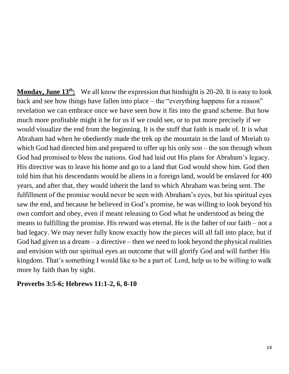**Monday, June 13th:** We all know the expression that hindsight is 20-20. It is easy to look back and see how things have fallen into place – the "everything happens for a reason" revelation we can embrace once we have seen how it fits into the grand scheme. But how much more profitable might it be for us if we could see, or to put more precisely if we would visualize the end from the beginning. It is the stuff that faith is made of. It is what Abraham had when he obediently made the trek up the mountain in the land of Moriah to which God had directed him and prepared to offer up his only son – the son through whom God had promised to bless the nations. God had laid out His plans for Abraham's legacy. His directive was to leave his home and go to a land that God would show him. God then told him that his descendants would be aliens in a foreign land, would be enslaved for 400 years, and after that, they would inherit the land to which Abraham was being sent. The fulfillment of the promise would never be seen with Abraham's eyes, but his spiritual eyes saw the end, and because he believed in God's promise, he was willing to look beyond his own comfort and obey, even if meant releasing to God what he understood as being the means to fulfilling the promise. His reward was eternal. He is the father of our faith – not a bad legacy. We may never fully know exactly how the pieces will all fall into place, but if God had given us a dream  $-$  a directive  $-$  then we need to look beyond the physical realities and envision with our spiritual eyes an outcome that will glorify God and will further His kingdom. That's something I would like to be a part of. Lord, help us to be willing to walk more by faith than by sight.

#### **Proverbs 3:5-6; Hebrews 11:1-2, 6, 8-10**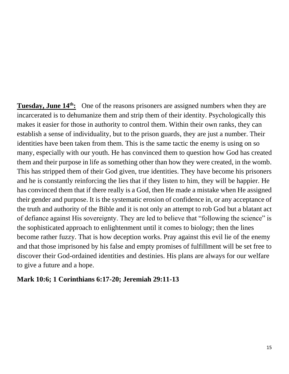**Tuesday, June 14th:** One of the reasons prisoners are assigned numbers when they are incarcerated is to dehumanize them and strip them of their identity. Psychologically this makes it easier for those in authority to control them. Within their own ranks, they can establish a sense of individuality, but to the prison guards, they are just a number. Their identities have been taken from them. This is the same tactic the enemy is using on so many, especially with our youth. He has convinced them to question how God has created them and their purpose in life as something other than how they were created, in the womb. This has stripped them of their God given, true identities. They have become his prisoners and he is constantly reinforcing the lies that if they listen to him, they will be happier. He has convinced them that if there really is a God, then He made a mistake when He assigned their gender and purpose. It is the systematic erosion of confidence in, or any acceptance of the truth and authority of the Bible and it is not only an attempt to rob God but a blatant act of defiance against His sovereignty. They are led to believe that "following the science" is the sophisticated approach to enlightenment until it comes to biology; then the lines become rather fuzzy. That is how deception works. Pray against this evil lie of the enemy and that those imprisoned by his false and empty promises of fulfillment will be set free to discover their God-ordained identities and destinies. His plans are always for our welfare to give a future and a hope.

#### **Mark 10:6; 1 Corinthians 6:17-20; Jeremiah 29:11-13**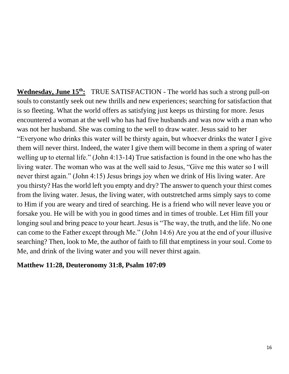**Wednesday, June 15th:** TRUE SATISFACTION - The world has such a strong pull-on souls to constantly seek out new thrills and new experiences; searching for satisfaction that is so fleeting. What the world offers as satisfying just keeps us thirsting for more. Jesus encountered a woman at the well who has had five husbands and was now with a man who was not her husband. She was coming to the well to draw water. Jesus said to her "Everyone who drinks this water will be thirsty again, but whoever drinks the water I give them will never thirst. Indeed, the water I give them will become in them a spring of water welling up to eternal life." (John 4:13-14) True satisfaction is found in the one who has the living water. The woman who was at the well said to Jesus, "Give me this water so I will never thirst again." (John 4:15) Jesus brings joy when we drink of His living water. Are you thirsty? Has the world left you empty and dry? The answer to quench your thirst comes from the living water. Jesus, the living water, with outstretched arms simply says to come to Him if you are weary and tired of searching. He is a friend who will never leave you or forsake you. He will be with you in good times and in times of trouble. Let Him fill your longing soul and bring peace to your heart. Jesus is "The way, the truth, and the life. No one can come to the Father except through Me." (John 14:6) Are you at the end of your illusive searching? Then, look to Me, the author of faith to fill that emptiness in your soul. Come to Me, and drink of the living water and you will never thirst again.

#### **Matthew 11:28, Deuteronomy 31:8, Psalm 107:09**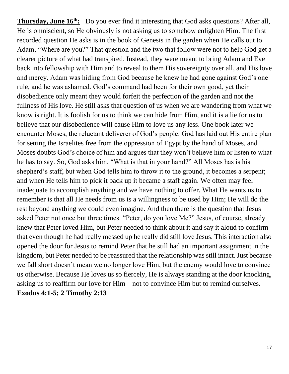**Thursday, June 16th:** Do you ever find it interesting that God asks questions? After all, He is omniscient, so He obviously is not asking us to somehow enlighten Him. The first recorded question He asks is in the book of Genesis in the garden when He calls out to Adam, "Where are you?" That question and the two that follow were not to help God get a clearer picture of what had transpired. Instead, they were meant to bring Adam and Eve back into fellowship with Him and to reveal to them His sovereignty over all, and His love and mercy. Adam was hiding from God because he knew he had gone against God's one rule, and he was ashamed. God's command had been for their own good, yet their disobedience only meant they would forfeit the perfection of the garden and not the fullness of His love. He still asks that question of us when we are wandering from what we know is right. It is foolish for us to think we can hide from Him, and it is a lie for us to believe that our disobedience will cause Him to love us any less. One book later we encounter Moses, the reluctant deliverer of God's people. God has laid out His entire plan for setting the Israelites free from the oppression of Egypt by the hand of Moses, and Moses doubts God's choice of him and argues that they won't believe him or listen to what he has to say. So, God asks him, "What is that in your hand?" All Moses has is his shepherd's staff, but when God tells him to throw it to the ground, it becomes a serpent; and when He tells him to pick it back up it became a staff again. We often may feel inadequate to accomplish anything and we have nothing to offer. What He wants us to remember is that all He needs from us is a willingness to be used by Him; He will do the rest beyond anything we could even imagine. And then there is the question that Jesus asked Peter not once but three times. "Peter, do you love Me?" Jesus, of course, already knew that Peter loved Him, but Peter needed to think about it and say it aloud to confirm that even though he had really messed up he really did still love Jesus. This interaction also opened the door for Jesus to remind Peter that he still had an important assignment in the kingdom, but Peter needed to be reassured that the relationship was still intact. Just because we fall short doesn't mean we no longer love Him, but the enemy would love to convince us otherwise. Because He loves us so fiercely, He is always standing at the door knocking, asking us to reaffirm our love for Him – not to convince Him but to remind ourselves. **Exodus 4:1-5; 2 Timothy 2:13**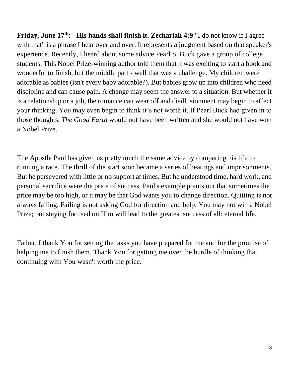**Friday, June 17<sup>th</sup>: His hands shall finish it. Zechariah 4:9 "I do not know if I agree** with that" is a phrase I hear over and over. It represents a judgment based on that speaker's experience. Recently, I heard about some advice Pearl S. Buck gave a group of college students. This Nobel Prize-winning author told them that it was exciting to start a book and wonderful to finish, but the middle part - well that was a challenge. My children were adorable as babies (isn't every baby adorable?). But babies grow up into children who need discipline and can cause pain. A change may seem the answer to a situation. But whether it is a relationship or a job, the romance can wear off and disillusionment may begin to affect your thinking. You may even begin to think it's not worth it. If Pearl Buck had given in to those thoughts, *The Good Earth* would not have been written and she would not have won a Nobel Prize.

The Apostle Paul has given us pretty much the same advice by comparing his life to running a race. The thrill of the start soon became a series of beatings and imprisonments. But he persevered with little or no support at times. But he understood time, hard work, and personal sacrifice were the price of success. Paul's example points out that sometimes the price may be too high, or it may be that God wants you to change direction. Quitting is not always failing. Failing is not asking God for direction and help. You may not win a Nobel Prize; but staying focused on Him will lead to the greatest success of all: eternal life.

Father, I thank You for setting the tasks you have prepared for me and for the promise of helping me to finish them. Thank You for getting me over the hurdle of thinking that continuing with You wasn't worth the price.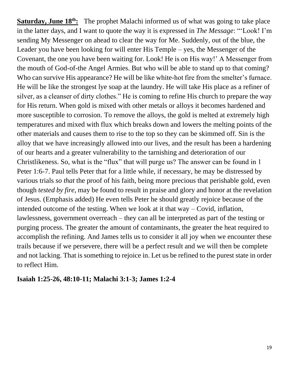**Saturday, June 18<sup>th</sup>:** The prophet Malachi informed us of what was going to take place in the latter days, and I want to quote the way it is expressed in *The Message*: "'Look! I'm sending My Messenger on ahead to clear the way for Me. Suddenly, out of the blue, the Leader you have been looking for will enter His Temple – yes, the Messenger of the Covenant, the one you have been waiting for. Look! He is on His way!' A Messenger from the mouth of God-of-the Angel Armies. But who will be able to stand up to that coming? Who can survive His appearance? He will be like white-hot fire from the smelter's furnace. He will be like the strongest lye soap at the laundry. He will take His place as a refiner of silver, as a cleanser of dirty clothes." He is coming to refine His church to prepare the way for His return. When gold is mixed with other metals or alloys it becomes hardened and more susceptible to corrosion. To remove the alloys, the gold is melted at extremely high temperatures and mixed with flux which breaks down and lowers the melting points of the other materials and causes them to rise to the top so they can be skimmed off. Sin is the alloy that we have increasingly allowed into our lives, and the result has been a hardening of our hearts and a greater vulnerability to the tarnishing and deterioration of our Christlikeness. So, what is the "flux" that will purge us? The answer can be found in 1 Peter 1:6-7. Paul tells Peter that for a little while, if necessary, he may be distressed by various trials *so that* the proof of his faith, being more precious that perishable gold, even though *tested by fire*, may be found to result in praise and glory and honor at the revelation of Jesus. (Emphasis added) He even tells Peter he should greatly rejoice because of the intended outcome of the testing. When we look at it that way – Covid, inflation, lawlessness, government overreach – they can all be interpreted as part of the testing or purging process. The greater the amount of contaminants, the greater the heat required to accomplish the refining. And James tells us to consider it all joy when we encounter these trails because if we persevere, there will be a perfect result and we will then be complete and not lacking. That is something to rejoice in. Let us be refined to the purest state in order to reflect Him.

#### **Isaiah 1:25-26, 48:10-11; Malachi 3:1-3; James 1:2-4**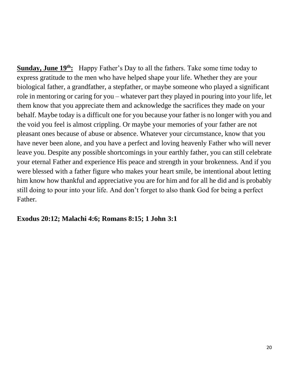**Sunday, June 19th:** Happy Father's Day to all the fathers. Take some time today to express gratitude to the men who have helped shape your life. Whether they are your biological father, a grandfather, a stepfather, or maybe someone who played a significant role in mentoring or caring for you – whatever part they played in pouring into your life, let them know that you appreciate them and acknowledge the sacrifices they made on your behalf. Maybe today is a difficult one for you because your father is no longer with you and the void you feel is almost crippling. Or maybe your memories of your father are not pleasant ones because of abuse or absence. Whatever your circumstance, know that you have never been alone, and you have a perfect and loving heavenly Father who will never leave you. Despite any possible shortcomings in your earthly father, you can still celebrate your eternal Father and experience His peace and strength in your brokenness. And if you were blessed with a father figure who makes your heart smile, be intentional about letting him know how thankful and appreciative you are for him and for all he did and is probably still doing to pour into your life. And don't forget to also thank God for being a perfect Father.

#### **Exodus 20:12; Malachi 4:6; Romans 8:15; 1 John 3:1**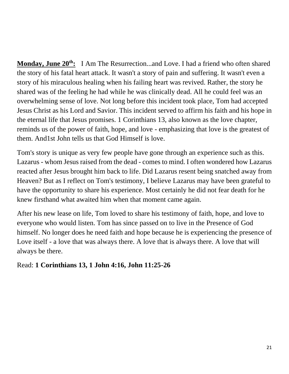**Monday, June 20th:** I Am The Resurrection...and Love. I had a friend who often shared the story of his fatal heart attack. It wasn't a story of pain and suffering. It wasn't even a story of his miraculous healing when his failing heart was revived. Rather, the story he shared was of the feeling he had while he was clinically dead. All he could feel was an overwhelming sense of love. Not long before this incident took place, Tom had accepted Jesus Christ as his Lord and Savior. This incident served to affirm his faith and his hope in the eternal life that Jesus promises. 1 Corinthians 13, also known as the love chapter, reminds us of the power of faith, hope, and love - emphasizing that love is the greatest of them. And1st John tells us that God Himself is love.

Tom's story is unique as very few people have gone through an experience such as this. Lazarus - whom Jesus raised from the dead - comes to mind. I often wondered how Lazarus reacted after Jesus brought him back to life. Did Lazarus resent being snatched away from Heaven? But as I reflect on Tom's testimony, I believe Lazarus may have been grateful to have the opportunity to share his experience. Most certainly he did not fear death for he knew firsthand what awaited him when that moment came again.

After his new lease on life, Tom loved to share his testimony of faith, hope, and love to everyone who would listen. Tom has since passed on to live in the Presence of God himself. No longer does he need faith and hope because he is experiencing the presence of Love itself - a love that was always there. A love that is always there. A love that will always be there.

Read: **1 Corinthians 13, 1 John 4:16, John 11:25-26**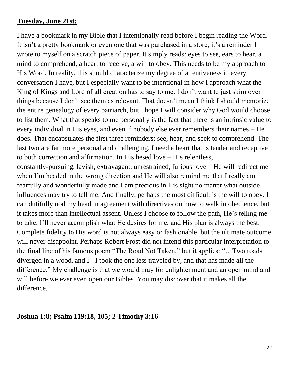#### **Tuesday, June 21st:**

I have a bookmark in my Bible that I intentionally read before I begin reading the Word. It isn't a pretty bookmark or even one that was purchased in a store; it's a reminder I wrote to myself on a scratch piece of paper. It simply reads: eyes to see, ears to hear, a mind to comprehend, a heart to receive, a will to obey. This needs to be my approach to His Word. In reality, this should characterize my degree of attentiveness in every conversation I have, but I especially want to be intentional in how I approach what the King of Kings and Lord of all creation has to say to me. I don't want to just skim over things because I don't see them as relevant. That doesn't mean I think I should memorize the entire genealogy of every patriarch, but I hope I will consider why God would choose to list them. What that speaks to me personally is the fact that there is an intrinsic value to every individual in His eyes, and even if nobody else ever remembers their names – He does. That encapsulates the first three reminders: see, hear, and seek to comprehend. The last two are far more personal and challenging. I need a heart that is tender and receptive to both correction and affirmation. In His hesed love – His relentless,

constantly-pursuing, lavish, extravagant, unrestrained, furious love – He will redirect me when I'm headed in the wrong direction and He will also remind me that I really am fearfully and wonderfully made and I am precious in His sight no matter what outside influences may try to tell me. And finally, perhaps the most difficult is the will to obey. I can dutifully nod my head in agreement with directives on how to walk in obedience, but it takes more than intellectual assent. Unless I choose to follow the path, He's telling me to take, I'll never accomplish what He desires for me, and His plan is always the best. Complete fidelity to His word is not always easy or fashionable, but the ultimate outcome will never disappoint. Perhaps Robert Frost did not intend this particular interpretation to the final line of his famous poem "The Road Not Taken," but it applies: "…Two roads diverged in a wood, and I - I took the one less traveled by, and that has made all the difference." My challenge is that we would pray for enlightenment and an open mind and will before we ever even open our Bibles. You may discover that it makes all the difference.

#### **Joshua 1:8; Psalm 119:18, 105; 2 Timothy 3:16**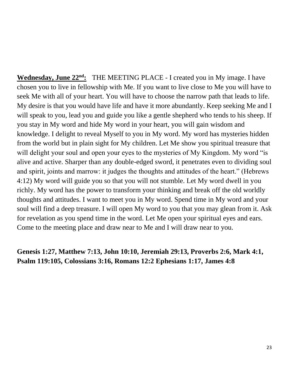**Wednesday, June 22nd:** THE MEETING PLACE - I created you in My image. I have chosen you to live in fellowship with Me. If you want to live close to Me you will have to seek Me with all of your heart. You will have to choose the narrow path that leads to life. My desire is that you would have life and have it more abundantly. Keep seeking Me and I will speak to you, lead you and guide you like a gentle shepherd who tends to his sheep. If you stay in My word and hide My word in your heart, you will gain wisdom and knowledge. I delight to reveal Myself to you in My word. My word has mysteries hidden from the world but in plain sight for My children. Let Me show you spiritual treasure that will delight your soul and open your eyes to the mysteries of My Kingdom. My word "is alive and active. Sharper than any double-edged sword, it penetrates even to dividing soul and spirit, joints and marrow: it judges the thoughts and attitudes of the heart." (Hebrews 4:12) My word will guide you so that you will not stumble. Let My word dwell in you richly. My word has the power to transform your thinking and break off the old worldly thoughts and attitudes. I want to meet you in My word. Spend time in My word and your soul will find a deep treasure. I will open My word to you that you may glean from it. Ask for revelation as you spend time in the word. Let Me open your spiritual eyes and ears. Come to the meeting place and draw near to Me and I will draw near to you.

# **Genesis 1:27, Matthew 7:13, John 10:10, Jeremiah 29:13, Proverbs 2:6, Mark 4:1, Psalm 119:105, Colossians 3:16, Romans 12:2 Ephesians 1:17, James 4:8**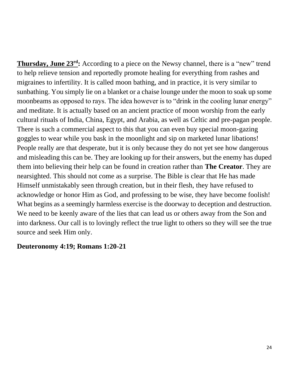**Thursday, June 23rd:** According to a piece on the Newsy channel, there is a "new" trend to help relieve tension and reportedly promote healing for everything from rashes and migraines to infertility. It is called moon bathing, and in practice, it is very similar to sunbathing. You simply lie on a blanket or a chaise lounge under the moon to soak up some moonbeams as opposed to rays. The idea however is to "drink in the cooling lunar energy" and meditate. It is actually based on an ancient practice of moon worship from the early cultural rituals of India, China, Egypt, and Arabia, as well as Celtic and pre-pagan people. There is such a commercial aspect to this that you can even buy special moon-gazing goggles to wear while you bask in the moonlight and sip on marketed lunar libations! People really are that desperate, but it is only because they do not yet see how dangerous and misleading this can be. They are looking up for their answers, but the enemy has duped them into believing their help can be found in creation rather than **The Creator**. They are nearsighted. This should not come as a surprise. The Bible is clear that He has made Himself unmistakably seen through creation, but in their flesh, they have refused to acknowledge or honor Him as God, and professing to be wise, they have become foolish! What begins as a seemingly harmless exercise is the doorway to deception and destruction. We need to be keenly aware of the lies that can lead us or others away from the Son and into darkness. Our call is to lovingly reflect the true light to others so they will see the true source and seek Him only.

#### **Deuteronomy 4:19; Romans 1:20-21**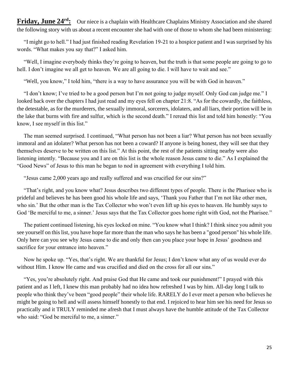Friday, June 24<sup>rd</sup>: Our niece is a chaplain with Healthcare Chaplains Ministry Association and she shared the following story with us about a recent encounter she had with one of those to whom she had been ministering:

 "I might go to hell." I had just finished reading Revelation 19-21 to a hospice patient and I was surprised by his words. "What makes you say that?" I asked him.

 "Well, I imagine everybody thinks they're going to heaven, but the truth is that some people are going to go to hell. I don't imagine we all get to heaven. We are all going to die. I will have to wait and see."

"Well, you know," I told him, "there is a way to have assurance you will be with God in heaven."

 "I don't know; I've tried to be a good person but I'm not going to judge myself. Only God can judge me." I looked back over the chapters I had just read and my eyes fell on chapter 21:8. "As for the cowardly, the faithless, the detestable, as for the murderers, the sexually immoral, sorcerers, idolaters, and all liars, their portion will be in the lake that burns with fire and sulfur, which is the second death." I reread this list and told him honestly: "You know, I see myself in this list."

 The man seemed surprised. I continued, "What person has not been a liar? What person has not been sexually immoral and an idolater? What person has not been a coward? If anyone is being honest, they will see that they themselves deserve to be written on this list." At this point, the rest of the patients sitting nearby were also listening intently. "Because you and I are on this list is the whole reason Jesus came to die." As I explained the "Good News" of Jesus to this man he began to nod in agreement with everything I told him.

"Jesus came 2,000 years ago and really suffered and was crucified for our sins?"

 "That's right, and you know what? Jesus describes two different types of people. There is the Pharisee who is prideful and believes he has been good his whole life and says, 'Thank you Father that I'm not like other men, who sin.' But the other man is the Tax Collector who won't even lift up his eyes to heaven. He humbly says to God 'Be merciful to me, a sinner.' Jesus says that the Tax Collector goes home right with God, not the Pharisee."

 The patient continued listening, his eyes locked on mine. "You know what I think? I think since you admit you see yourself on this list, you have hope far more than the man who says he has been a "good person" his whole life. Only here can you see why Jesus came to die and only then can you place your hope in Jesus' goodness and sacrifice for your entrance into heaven."

 Now he spoke up. "Yes, that's right. We are thankful for Jesus; I don't know what any of us would ever do without Him. I know He came and was crucified and died on the cross for all our sins."

 "Yes, you're absolutely right. And praise God that He came and took our punishment!" I prayed with this patient and as I left, I knew this man probably had no idea how refreshed I was by him. All-day long I talk to people who think they've been "good people" their whole life. RARELY do I ever meet a person who believes he might be going to hell and will assess himself honestly to that end. I rejoiced to hear him see his need for Jesus so practically and it TRULY reminded me afresh that I must always have the humble attitude of the Tax Collector who said: "God be merciful to me, a sinner."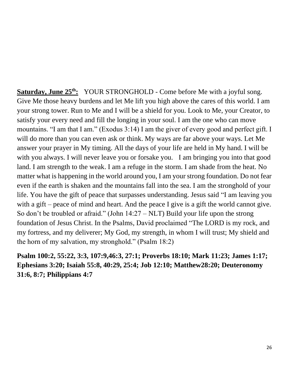**Saturday, June 25th:** YOUR STRONGHOLD - Come before Me with a joyful song. Give Me those heavy burdens and let Me lift you high above the cares of this world. I am your strong tower. Run to Me and I will be a shield for you. Look to Me, your Creator, to satisfy your every need and fill the longing in your soul. I am the one who can move mountains. "I am that I am." (Exodus 3:14) I am the giver of every good and perfect gift. I will do more than you can even ask or think. My ways are far above your ways. Let Me answer your prayer in My timing. All the days of your life are held in My hand. I will be with you always. I will never leave you or forsake you. I am bringing you into that good land. I am strength to the weak. I am a refuge in the storm. I am shade from the heat. No matter what is happening in the world around you, I am your strong foundation. Do not fear even if the earth is shaken and the mountains fall into the sea. I am the stronghold of your life. You have the gift of peace that surpasses understanding. Jesus said "I am leaving you with a gift – peace of mind and heart. And the peace I give is a gift the world cannot give. So don't be troubled or afraid." (John 14:27 – NLT) Build your life upon the strong foundation of Jesus Christ. In the Psalms, David proclaimed "The LORD is my rock, and my fortress, and my deliverer; My God, my strength, in whom I will trust; My shield and the horn of my salvation, my stronghold." (Psalm 18:2)

# **Psalm 100:2, 55:22, 3:3, 107:9,46:3, 27:1; Proverbs 18:10; Mark 11:23; James 1:17; Ephesians 3:20; Isaiah 55:8, 40:29, 25:4; Job 12:10; Matthew28:20; Deuteronomy 31:6, 8:7; Philippians 4:7**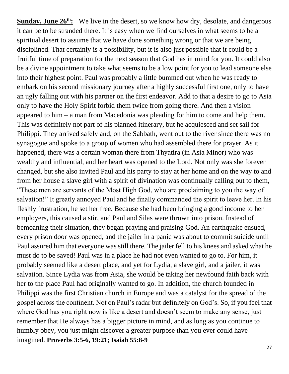**Sunday, June 26<sup>th</sup>:** We live in the desert, so we know how dry, desolate, and dangerous it can be to be stranded there. It is easy when we find ourselves in what seems to be a spiritual desert to assume that we have done something wrong or that we are being disciplined. That certainly is a possibility, but it is also just possible that it could be a fruitful time of preparation for the next season that God has in mind for you. It could also be a divine appointment to take what seems to be a low point for you to lead someone else into their highest point. Paul was probably a little bummed out when he was ready to embark on his second missionary journey after a highly successful first one, only to have an ugly falling out with his partner on the first endeavor. Add to that a desire to go to Asia only to have the Holy Spirit forbid them twice from going there. And then a vision appeared to him – a man from Macedonia was pleading for him to come and help them. This was definitely not part of his planned itinerary, but he acquiesced and set sail for Philippi. They arrived safely and, on the Sabbath, went out to the river since there was no synagogue and spoke to a group of women who had assembled there for prayer. As it happened, there was a certain woman there from Thyatira (in Asia Minor) who was wealthy and influential, and her heart was opened to the Lord. Not only was she forever changed, but she also invited Paul and his party to stay at her home and on the way to and from her house a slave girl with a spirit of divination was continually calling out to them, "These men are servants of the Most High God, who are proclaiming to you the way of salvation!" It greatly annoyed Paul and he finally commanded the spirit to leave her. In his fleshly frustration, he set her free. Because she had been bringing a good income to her employers, this caused a stir, and Paul and Silas were thrown into prison. Instead of bemoaning their situation, they began praying and praising God. An earthquake ensued, every prison door was opened, and the jailer in a panic was about to commit suicide until Paul assured him that everyone was still there. The jailer fell to his knees and asked what he must do to be saved! Paul was in a place he had not even wanted to go to. For him, it probably seemed like a desert place, and yet for Lydia, a slave girl, and a jailer, it was salvation. Since Lydia was from Asia, she would be taking her newfound faith back with her to the place Paul had originally wanted to go. In addition, the church founded in Philippi was the first Christian church in Europe and was a catalyst for the spread of the gospel across the continent. Not on Paul's radar but definitely on God's. So, if you feel that where God has you right now is like a desert and doesn't seem to make any sense, just remember that He always has a bigger picture in mind, and as long as you continue to humbly obey, you just might discover a greater purpose than you ever could have imagined. **Proverbs 3:5-6, 19:21; Isaiah 55:8-9**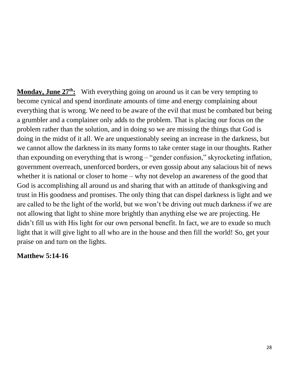**Monday, June 27th:** With everything going on around us it can be very tempting to become cynical and spend inordinate amounts of time and energy complaining about everything that is wrong. We need to be aware of the evil that must be combated but being a grumbler and a complainer only adds to the problem. That is placing our focus on the problem rather than the solution, and in doing so we are missing the things that God is doing in the midst of it all. We are unquestionably seeing an increase in the darkness, but we cannot allow the darkness in its many forms to take center stage in our thoughts. Rather than expounding on everything that is wrong – "gender confusion," skyrocketing inflation, government overreach, unenforced borders, or even gossip about any salacious bit of news whether it is national or closer to home – why not develop an awareness of the good that God is accomplishing all around us and sharing that with an attitude of thanksgiving and trust in His goodness and promises. The only thing that can dispel darkness is light and we are called to be the light of the world, but we won't be driving out much darkness if we are not allowing that light to shine more brightly than anything else we are projecting. He didn't fill us with His light for our own personal benefit. In fact, we are to exude so much light that it will give light to all who are in the house and then fill the world! So, get your praise on and turn on the lights.

#### **Matthew 5:14-16**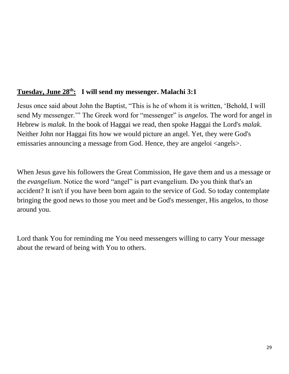# **Tuesday, June 28th: I will send my messenger. Malachi 3:1**

Jesus once said about John the Baptist, "This is he of whom it is written, 'Behold, I will send My messenger.'" The Greek word for "messenger" is *angelos.* The word for angel in Hebrew is *malak.* In the book of Haggai we read, then spoke Haggai the Lord's *malak*. Neither John nor Haggai fits how we would picture an angel. Yet, they were God's emissaries announcing a message from God. Hence, they are angeloi  $\langle$  angels $\rangle$ .

When Jesus gave his followers the Great Commission, He gave them and us a message or the *evangelium*. Notice the word "angel" is part evangelium. Do you think that's an accident? It isn't if you have been born again to the service of God. So today contemplate bringing the good news to those you meet and be God's messenger, His angelos, to those around you.

Lord thank You for reminding me You need messengers willing to carry Your message about the reward of being with You to others.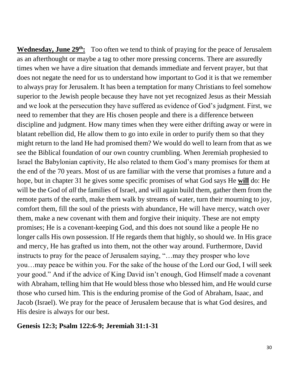**Wednesday, June 29th:** Too often we tend to think of praying for the peace of Jerusalem as an afterthought or maybe a tag to other more pressing concerns. There are assuredly times when we have a dire situation that demands immediate and fervent prayer, but that does not negate the need for us to understand how important to God it is that we remember to always pray for Jerusalem. It has been a temptation for many Christians to feel somehow superior to the Jewish people because they have not yet recognized Jesus as their Messiah and we look at the persecution they have suffered as evidence of God's judgment. First, we need to remember that they are His chosen people and there is a difference between discipline and judgment. How many times when they were either drifting away or were in blatant rebellion did, He allow them to go into exile in order to purify them so that they might return to the land He had promised them? We would do well to learn from that as we see the Biblical foundation of our own country crumbling. When Jeremiah prophesied to Israel the Babylonian captivity, He also related to them God's many promises for them at the end of the 70 years. Most of us are familiar with the verse that promises a future and a hope, but in chapter 31 he gives some specific promises of what God says He **will** do: He will be the God of *all* the families of Israel, and will again build them, gather them from the remote parts of the earth, make them walk by streams of water, turn their mourning to joy, comfort them, fill the soul of the priests with abundance, He will have mercy, watch over them, make a new covenant with them and forgive their iniquity. These are not empty promises; He is a covenant-keeping God, and this does not sound like a people He no longer calls His own possession. If He regards them that highly, so should we. In His grace and mercy, He has grafted us into them, not the other way around. Furthermore, David instructs to pray for the peace of Jerusalem saying, "…may they prosper who love you…may peace be within you. For the sake of the house of the Lord our God, I will seek your good." And if the advice of King David isn't enough, God Himself made a covenant with Abraham, telling him that He would bless those who blessed him, and He would curse those who cursed him. This is the enduring promise of the God of Abraham, Isaac, and Jacob (Israel). We pray for the peace of Jerusalem because that is what God desires, and His desire is always for our best.

#### **Genesis 12:3; Psalm 122:6-9; Jeremiah 31:1-31**